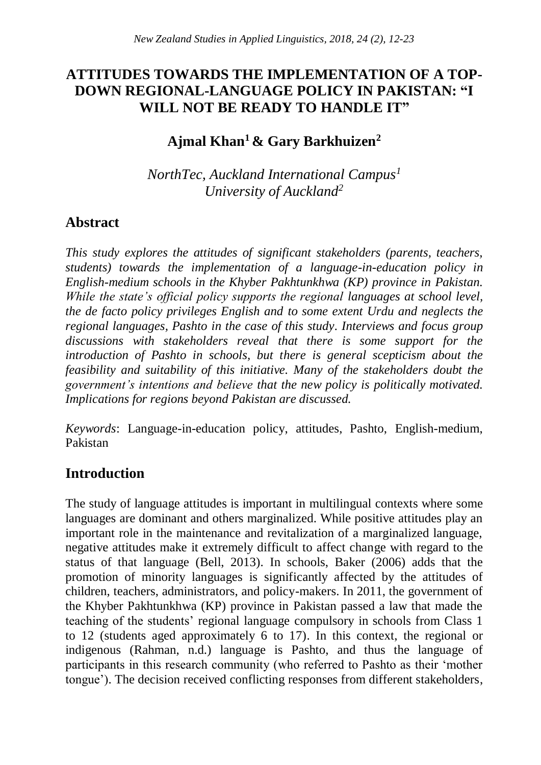# **ATTITUDES TOWARDS THE IMPLEMENTATION OF A TOP-DOWN REGIONAL-LANGUAGE POLICY IN PAKISTAN: "I WILL NOT BE READY TO HANDLE IT"**

# **Ajmal Khan<sup>1</sup>& Gary Barkhuizen<sup>2</sup>**

*NorthTec, Auckland International Campus<sup>1</sup> University of Auckland<sup>2</sup>*

# **Abstract**

*This study explores the attitudes of significant stakeholders (parents, teachers, students) towards the implementation of a language-in-education policy in English-medium schools in the Khyber Pakhtunkhwa (KP) province in Pakistan. While the state's official policy supports the regional languages at school level, the de facto policy privileges English and to some extent Urdu and neglects the regional languages, Pashto in the case of this study. Interviews and focus group discussions with stakeholders reveal that there is some support for the introduction of Pashto in schools, but there is general scepticism about the feasibility and suitability of this initiative. Many of the stakeholders doubt the government's intentions and believe that the new policy is politically motivated. Implications for regions beyond Pakistan are discussed.* 

*Keywords*: Language-in-education policy, attitudes, Pashto, English-medium, Pakistan

# **Introduction**

The study of language attitudes is important in multilingual contexts where some languages are dominant and others marginalized. While positive attitudes play an important role in the maintenance and revitalization of a marginalized language, negative attitudes make it extremely difficult to affect change with regard to the status of that language (Bell, 2013). In schools, Baker (2006) adds that the promotion of minority languages is significantly affected by the attitudes of children, teachers, administrators, and policy-makers. In 2011, the government of the Khyber Pakhtunkhwa (KP) province in Pakistan passed a law that made the teaching of the students' regional language compulsory in schools from Class 1 to 12 (students aged approximately 6 to 17). In this context, the regional or indigenous (Rahman, n.d.) language is Pashto, and thus the language of participants in this research community (who referred to Pashto as their 'mother tongue'). The decision received conflicting responses from different stakeholders,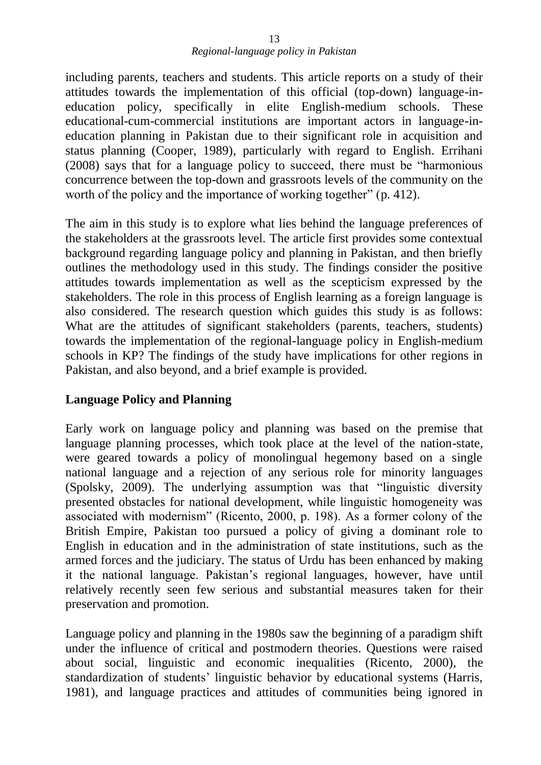including parents, teachers and students. This article reports on a study of their attitudes towards the implementation of this official (top-down) language-ineducation policy, specifically in elite English-medium schools. These educational-cum-commercial institutions are important actors in language-ineducation planning in Pakistan due to their significant role in acquisition and status planning (Cooper, 1989), particularly with regard to English. Errihani (2008) says that for a language policy to succeed, there must be "harmonious concurrence between the top-down and grassroots levels of the community on the worth of the policy and the importance of working together" (p. 412).

The aim in this study is to explore what lies behind the language preferences of the stakeholders at the grassroots level. The article first provides some contextual background regarding language policy and planning in Pakistan, and then briefly outlines the methodology used in this study. The findings consider the positive attitudes towards implementation as well as the scepticism expressed by the stakeholders. The role in this process of English learning as a foreign language is also considered. The research question which guides this study is as follows: What are the attitudes of significant stakeholders (parents, teachers, students) towards the implementation of the regional-language policy in English-medium schools in KP? The findings of the study have implications for other regions in Pakistan, and also beyond, and a brief example is provided.

## **Language Policy and Planning**

Early work on language policy and planning was based on the premise that language planning processes, which took place at the level of the nation-state, were geared towards a policy of monolingual hegemony based on a single national language and a rejection of any serious role for minority languages (Spolsky, 2009). The underlying assumption was that "linguistic diversity presented obstacles for national development, while linguistic homogeneity was associated with modernism" (Ricento, 2000, p. 198). As a former colony of the British Empire, Pakistan too pursued a policy of giving a dominant role to English in education and in the administration of state institutions, such as the armed forces and the judiciary. The status of Urdu has been enhanced by making it the national language. Pakistan's regional languages, however, have until relatively recently seen few serious and substantial measures taken for their preservation and promotion.

Language policy and planning in the 1980s saw the beginning of a paradigm shift under the influence of critical and postmodern theories. Questions were raised about social, linguistic and economic inequalities (Ricento, 2000), the standardization of students' linguistic behavior by educational systems (Harris, 1981), and language practices and attitudes of communities being ignored in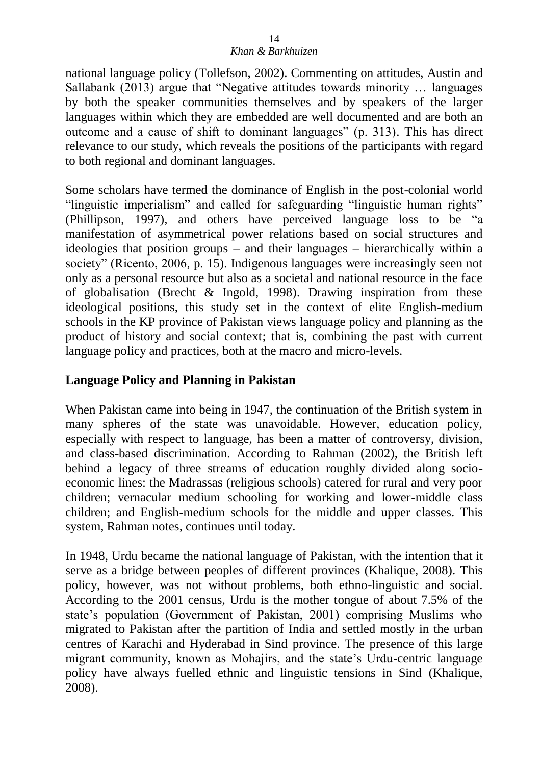national language policy (Tollefson, 2002). Commenting on attitudes, Austin and Sallabank (2013) argue that "Negative attitudes towards minority … languages by both the speaker communities themselves and by speakers of the larger languages within which they are embedded are well documented and are both an outcome and a cause of shift to dominant languages" (p. 313). This has direct relevance to our study, which reveals the positions of the participants with regard to both regional and dominant languages.

Some scholars have termed the dominance of English in the post-colonial world "linguistic imperialism" and called for safeguarding "linguistic human rights" (Phillipson, 1997), and others have perceived language loss to be "a manifestation of asymmetrical power relations based on social structures and ideologies that position groups – and their languages – hierarchically within a society" (Ricento, 2006, p. 15). Indigenous languages were increasingly seen not only as a personal resource but also as a societal and national resource in the face of globalisation (Brecht & Ingold, 1998). Drawing inspiration from these ideological positions, this study set in the context of elite English-medium schools in the KP province of Pakistan views language policy and planning as the product of history and social context; that is, combining the past with current language policy and practices, both at the macro and micro-levels.

## **Language Policy and Planning in Pakistan**

When Pakistan came into being in 1947, the continuation of the British system in many spheres of the state was unavoidable. However, education policy, especially with respect to language, has been a matter of controversy, division, and class-based discrimination. According to Rahman (2002), the British left behind a legacy of three streams of education roughly divided along socioeconomic lines: the Madrassas (religious schools) catered for rural and very poor children; vernacular medium schooling for working and lower-middle class children; and English-medium schools for the middle and upper classes. This system, Rahman notes, continues until today.

In 1948, Urdu became the national language of Pakistan, with the intention that it serve as a bridge between peoples of different provinces (Khalique, 2008). This policy, however, was not without problems, both ethno-linguistic and social. According to the 2001 census, Urdu is the mother tongue of about 7.5% of the state's population (Government of Pakistan, 2001) comprising Muslims who migrated to Pakistan after the partition of India and settled mostly in the urban centres of Karachi and Hyderabad in Sind province. The presence of this large migrant community, known as Mohajirs, and the state's Urdu-centric language policy have always fuelled ethnic and linguistic tensions in Sind (Khalique, 2008).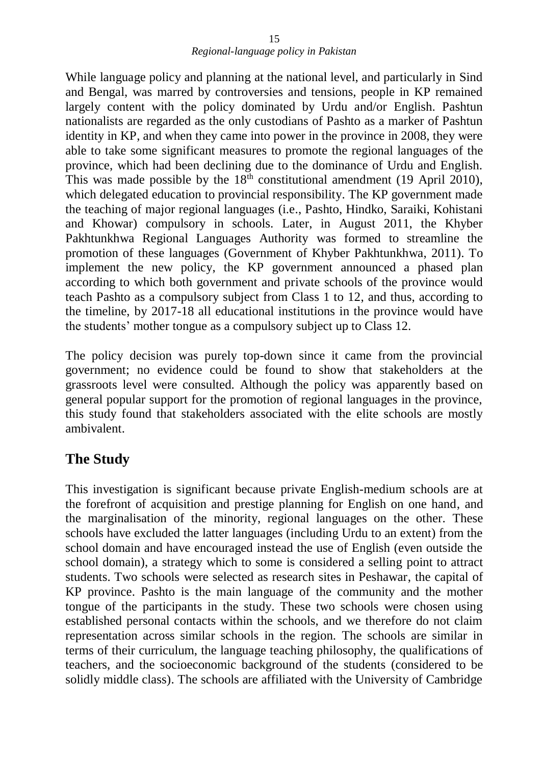While language policy and planning at the national level, and particularly in Sind and Bengal, was marred by controversies and tensions, people in KP remained largely content with the policy dominated by Urdu and/or English. Pashtun nationalists are regarded as the only custodians of Pashto as a marker of Pashtun identity in KP, and when they came into power in the province in 2008, they were able to take some significant measures to promote the regional languages of the province, which had been declining due to the dominance of Urdu and English. This was made possible by the  $18<sup>th</sup>$  constitutional amendment (19 April 2010), which delegated education to provincial responsibility. The KP government made the teaching of major regional languages (i.e., Pashto, Hindko, Saraiki, Kohistani and Khowar) compulsory in schools. Later, in August 2011, the Khyber Pakhtunkhwa Regional Languages Authority was formed to streamline the promotion of these languages (Government of Khyber Pakhtunkhwa, 2011). To implement the new policy, the KP government announced a phased plan according to which both government and private schools of the province would teach Pashto as a compulsory subject from Class 1 to 12, and thus, according to the timeline, by 2017-18 all educational institutions in the province would have the students' mother tongue as a compulsory subject up to Class 12.

The policy decision was purely top-down since it came from the provincial government; no evidence could be found to show that stakeholders at the grassroots level were consulted. Although the policy was apparently based on general popular support for the promotion of regional languages in the province, this study found that stakeholders associated with the elite schools are mostly ambivalent.

# **The Study**

This investigation is significant because private English-medium schools are at the forefront of acquisition and prestige planning for English on one hand, and the marginalisation of the minority, regional languages on the other. These schools have excluded the latter languages (including Urdu to an extent) from the school domain and have encouraged instead the use of English (even outside the school domain), a strategy which to some is considered a selling point to attract students. Two schools were selected as research sites in Peshawar, the capital of KP province. Pashto is the main language of the community and the mother tongue of the participants in the study. These two schools were chosen using established personal contacts within the schools, and we therefore do not claim representation across similar schools in the region. The schools are similar in terms of their curriculum, the language teaching philosophy, the qualifications of teachers, and the socioeconomic background of the students (considered to be solidly middle class). The schools are affiliated with the University of Cambridge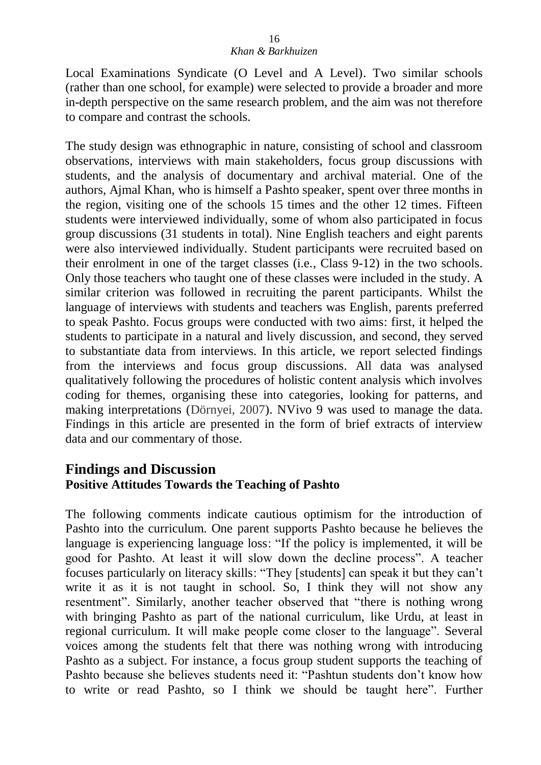Local Examinations Syndicate (O Level and A Level). Two similar schools (rather than one school, for example) were selected to provide a broader and more in-depth perspective on the same research problem, and the aim was not therefore to compare and contrast the schools.

The study design was ethnographic in nature, consisting of school and classroom observations, interviews with main stakeholders, focus group discussions with students, and the analysis of documentary and archival material. One of the authors, Ajmal Khan, who is himself a Pashto speaker, spent over three months in the region, visiting one of the schools 15 times and the other 12 times. Fifteen students were interviewed individually, some of whom also participated in focus group discussions (31 students in total). Nine English teachers and eight parents were also interviewed individually. Student participants were recruited based on their enrolment in one of the target classes (i.e., Class 9-12) in the two schools. Only those teachers who taught one of these classes were included in the study. A similar criterion was followed in recruiting the parent participants. Whilst the language of interviews with students and teachers was English, parents preferred to speak Pashto. Focus groups were conducted with two aims: first, it helped the students to participate in a natural and lively discussion, and second, they served to substantiate data from interviews. In this article, we report selected findings from the interviews and focus group discussions. All data was analysed qualitatively following the procedures of holistic content analysis which involves coding for themes, organising these into categories, looking for patterns, and making interpretations (Dörnyei, 2007). NVivo 9 was used to manage the data. Findings in this article are presented in the form of brief extracts of interview data and our commentary of those.

## **Findings and Discussion Positive Attitudes Towards the Teaching of Pashto**

The following comments indicate cautious optimism for the introduction of Pashto into the curriculum. One parent supports Pashto because he believes the language is experiencing language loss: "If the policy is implemented, it will be good for Pashto. At least it will slow down the decline process". A teacher focuses particularly on literacy skills: "They [students] can speak it but they can't write it as it is not taught in school. So, I think they will not show any resentment". Similarly, another teacher observed that "there is nothing wrong with bringing Pashto as part of the national curriculum, like Urdu, at least in regional curriculum. It will make people come closer to the language". Several voices among the students felt that there was nothing wrong with introducing Pashto as a subject. For instance, a focus group student supports the teaching of Pashto because she believes students need it: "Pashtun students don't know how to write or read Pashto, so I think we should be taught here". Further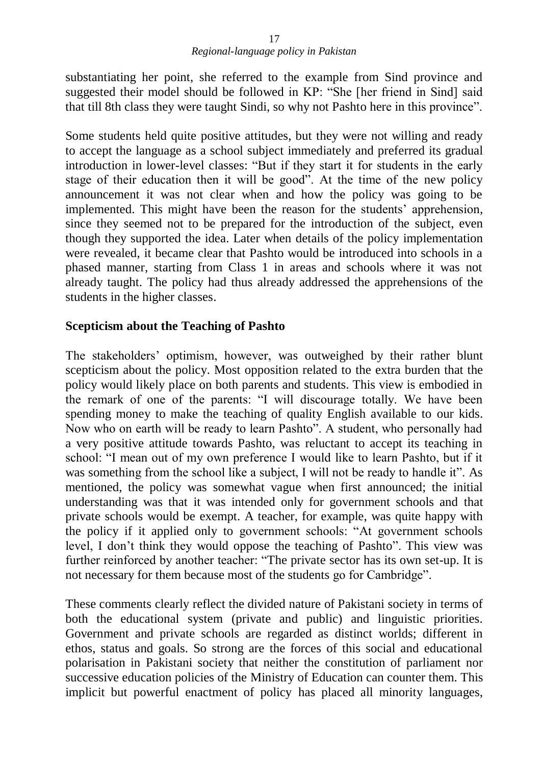#### *Regional-language policy in Pakistan* 17

substantiating her point, she referred to the example from Sind province and suggested their model should be followed in KP: "She [her friend in Sind] said that till 8th class they were taught Sindi, so why not Pashto here in this province".

Some students held quite positive attitudes, but they were not willing and ready to accept the language as a school subject immediately and preferred its gradual introduction in lower-level classes: "But if they start it for students in the early stage of their education then it will be good". At the time of the new policy announcement it was not clear when and how the policy was going to be implemented. This might have been the reason for the students' apprehension, since they seemed not to be prepared for the introduction of the subject, even though they supported the idea. Later when details of the policy implementation were revealed, it became clear that Pashto would be introduced into schools in a phased manner, starting from Class 1 in areas and schools where it was not already taught. The policy had thus already addressed the apprehensions of the students in the higher classes.

### **Scepticism about the Teaching of Pashto**

The stakeholders' optimism, however, was outweighed by their rather blunt scepticism about the policy. Most opposition related to the extra burden that the policy would likely place on both parents and students. This view is embodied in the remark of one of the parents: "I will discourage totally. We have been spending money to make the teaching of quality English available to our kids. Now who on earth will be ready to learn Pashto". A student, who personally had a very positive attitude towards Pashto, was reluctant to accept its teaching in school: "I mean out of my own preference I would like to learn Pashto, but if it was something from the school like a subject, I will not be ready to handle it". As mentioned, the policy was somewhat vague when first announced; the initial understanding was that it was intended only for government schools and that private schools would be exempt. A teacher, for example, was quite happy with the policy if it applied only to government schools: "At government schools level, I don't think they would oppose the teaching of Pashto". This view was further reinforced by another teacher: "The private sector has its own set-up. It is not necessary for them because most of the students go for Cambridge".

These comments clearly reflect the divided nature of Pakistani society in terms of both the educational system (private and public) and linguistic priorities. Government and private schools are regarded as distinct worlds; different in ethos, status and goals. So strong are the forces of this social and educational polarisation in Pakistani society that neither the constitution of parliament nor successive education policies of the Ministry of Education can counter them. This implicit but powerful enactment of policy has placed all minority languages,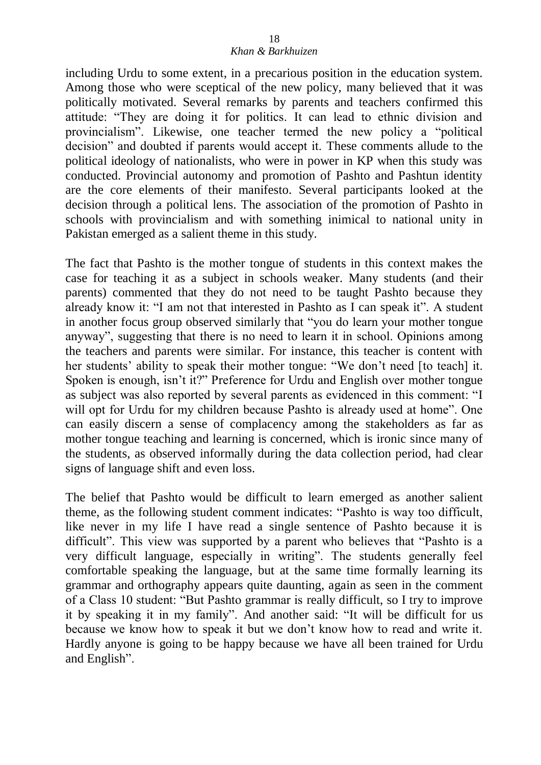including Urdu to some extent, in a precarious position in the education system. Among those who were sceptical of the new policy, many believed that it was politically motivated. Several remarks by parents and teachers confirmed this attitude: "They are doing it for politics. It can lead to ethnic division and provincialism". Likewise, one teacher termed the new policy a "political decision" and doubted if parents would accept it. These comments allude to the political ideology of nationalists, who were in power in KP when this study was conducted. Provincial autonomy and promotion of Pashto and Pashtun identity are the core elements of their manifesto. Several participants looked at the decision through a political lens. The association of the promotion of Pashto in schools with provincialism and with something inimical to national unity in Pakistan emerged as a salient theme in this study.

The fact that Pashto is the mother tongue of students in this context makes the case for teaching it as a subject in schools weaker. Many students (and their parents) commented that they do not need to be taught Pashto because they already know it: "I am not that interested in Pashto as I can speak it". A student in another focus group observed similarly that "you do learn your mother tongue anyway", suggesting that there is no need to learn it in school. Opinions among the teachers and parents were similar. For instance, this teacher is content with her students' ability to speak their mother tongue: "We don't need [to teach] it. Spoken is enough, isn't it?" Preference for Urdu and English over mother tongue as subject was also reported by several parents as evidenced in this comment: "I will opt for Urdu for my children because Pashto is already used at home". One can easily discern a sense of complacency among the stakeholders as far as mother tongue teaching and learning is concerned, which is ironic since many of the students, as observed informally during the data collection period, had clear signs of language shift and even loss.

The belief that Pashto would be difficult to learn emerged as another salient theme, as the following student comment indicates: "Pashto is way too difficult, like never in my life I have read a single sentence of Pashto because it is difficult". This view was supported by a parent who believes that "Pashto is a very difficult language, especially in writing". The students generally feel comfortable speaking the language, but at the same time formally learning its grammar and orthography appears quite daunting, again as seen in the comment of a Class 10 student: "But Pashto grammar is really difficult, so I try to improve it by speaking it in my family". And another said: "It will be difficult for us because we know how to speak it but we don't know how to read and write it. Hardly anyone is going to be happy because we have all been trained for Urdu and English".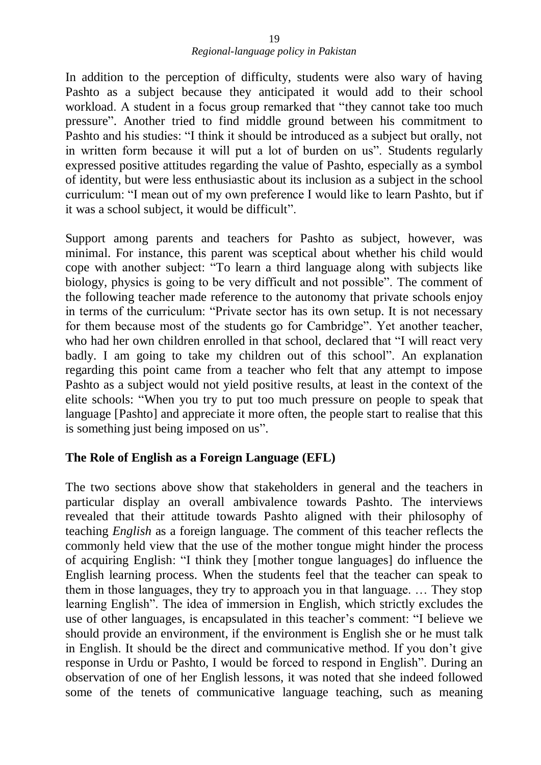In addition to the perception of difficulty, students were also wary of having Pashto as a subject because they anticipated it would add to their school workload. A student in a focus group remarked that "they cannot take too much pressure". Another tried to find middle ground between his commitment to Pashto and his studies: "I think it should be introduced as a subject but orally, not in written form because it will put a lot of burden on us". Students regularly expressed positive attitudes regarding the value of Pashto, especially as a symbol of identity, but were less enthusiastic about its inclusion as a subject in the school curriculum: "I mean out of my own preference I would like to learn Pashto, but if it was a school subject, it would be difficult".

Support among parents and teachers for Pashto as subject, however, was minimal. For instance, this parent was sceptical about whether his child would cope with another subject: "To learn a third language along with subjects like biology, physics is going to be very difficult and not possible". The comment of the following teacher made reference to the autonomy that private schools enjoy in terms of the curriculum: "Private sector has its own setup. It is not necessary for them because most of the students go for Cambridge". Yet another teacher, who had her own children enrolled in that school, declared that "I will react very badly. I am going to take my children out of this school". An explanation regarding this point came from a teacher who felt that any attempt to impose Pashto as a subject would not yield positive results, at least in the context of the elite schools: "When you try to put too much pressure on people to speak that language [Pashto] and appreciate it more often, the people start to realise that this is something just being imposed on us".

## **The Role of English as a Foreign Language (EFL)**

The two sections above show that stakeholders in general and the teachers in particular display an overall ambivalence towards Pashto. The interviews revealed that their attitude towards Pashto aligned with their philosophy of teaching *English* as a foreign language. The comment of this teacher reflects the commonly held view that the use of the mother tongue might hinder the process of acquiring English: "I think they [mother tongue languages] do influence the English learning process. When the students feel that the teacher can speak to them in those languages, they try to approach you in that language. … They stop learning English". The idea of immersion in English, which strictly excludes the use of other languages, is encapsulated in this teacher's comment: "I believe we should provide an environment, if the environment is English she or he must talk in English. It should be the direct and communicative method. If you don't give response in Urdu or Pashto, I would be forced to respond in English". During an observation of one of her English lessons, it was noted that she indeed followed some of the tenets of communicative language teaching, such as meaning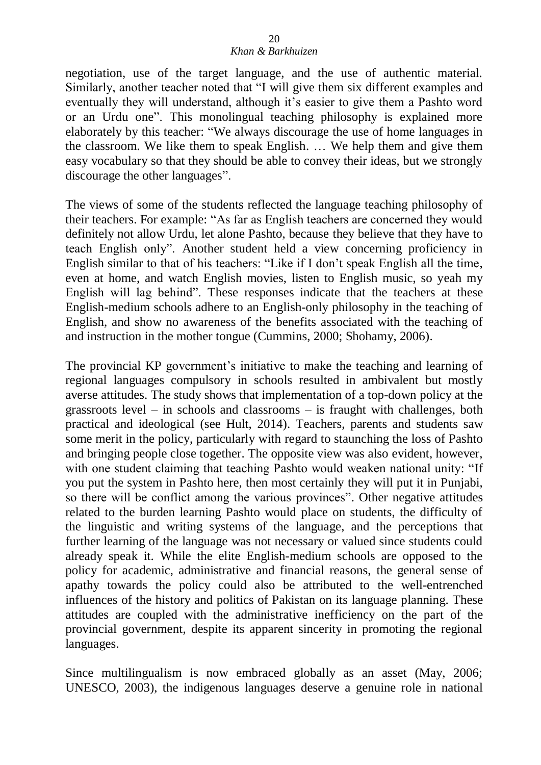# *Khan & Barkhuizen*

negotiation, use of the target language, and the use of authentic material. Similarly, another teacher noted that "I will give them six different examples and eventually they will understand, although it's easier to give them a Pashto word or an Urdu one". This monolingual teaching philosophy is explained more elaborately by this teacher: "We always discourage the use of home languages in the classroom. We like them to speak English. … We help them and give them easy vocabulary so that they should be able to convey their ideas, but we strongly discourage the other languages".

The views of some of the students reflected the language teaching philosophy of their teachers. For example: "As far as English teachers are concerned they would definitely not allow Urdu, let alone Pashto, because they believe that they have to teach English only". Another student held a view concerning proficiency in English similar to that of his teachers: "Like if I don't speak English all the time, even at home, and watch English movies, listen to English music, so yeah my English will lag behind". These responses indicate that the teachers at these English-medium schools adhere to an English-only philosophy in the teaching of English, and show no awareness of the benefits associated with the teaching of and instruction in the mother tongue (Cummins, 2000; Shohamy, 2006).

The provincial KP government's initiative to make the teaching and learning of regional languages compulsory in schools resulted in ambivalent but mostly averse attitudes. The study shows that implementation of a top-down policy at the grassroots level – in schools and classrooms – is fraught with challenges, both practical and ideological (see Hult, 2014). Teachers, parents and students saw some merit in the policy, particularly with regard to staunching the loss of Pashto and bringing people close together. The opposite view was also evident, however, with one student claiming that teaching Pashto would weaken national unity: "If you put the system in Pashto here, then most certainly they will put it in Punjabi, so there will be conflict among the various provinces". Other negative attitudes related to the burden learning Pashto would place on students, the difficulty of the linguistic and writing systems of the language, and the perceptions that further learning of the language was not necessary or valued since students could already speak it. While the elite English-medium schools are opposed to the policy for academic, administrative and financial reasons, the general sense of apathy towards the policy could also be attributed to the well-entrenched influences of the history and politics of Pakistan on its language planning. These attitudes are coupled with the administrative inefficiency on the part of the provincial government, despite its apparent sincerity in promoting the regional languages.

Since multilingualism is now embraced globally as an asset (May, 2006; UNESCO, 2003), the indigenous languages deserve a genuine role in national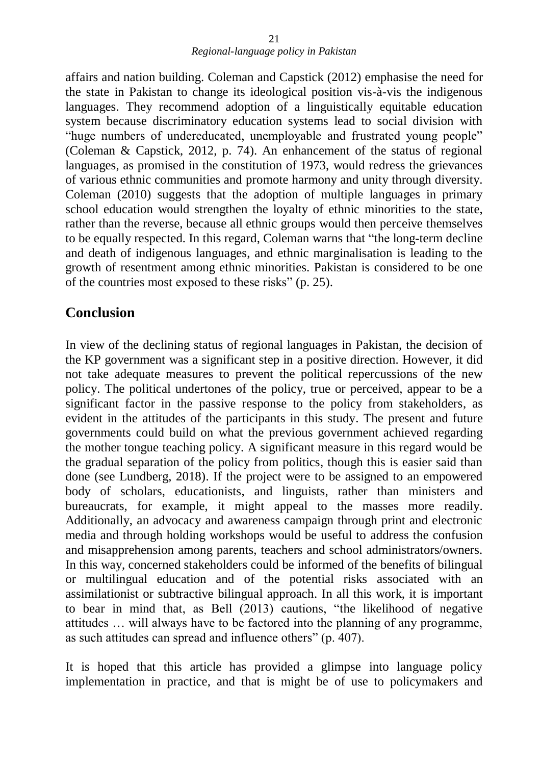affairs and nation building. Coleman and Capstick (2012) emphasise the need for the state in Pakistan to change its ideological position vis-à-vis the indigenous languages. They recommend adoption of a linguistically equitable education system because discriminatory education systems lead to social division with "huge numbers of undereducated, unemployable and frustrated young people" (Coleman & Capstick, 2012, p. 74). An enhancement of the status of regional languages, as promised in the constitution of 1973, would redress the grievances of various ethnic communities and promote harmony and unity through diversity. Coleman (2010) suggests that the adoption of multiple languages in primary school education would strengthen the loyalty of ethnic minorities to the state, rather than the reverse, because all ethnic groups would then perceive themselves to be equally respected. In this regard, Coleman warns that "the long-term decline and death of indigenous languages, and ethnic marginalisation is leading to the growth of resentment among ethnic minorities. Pakistan is considered to be one of the countries most exposed to these risks" (p. 25).

## **Conclusion**

In view of the declining status of regional languages in Pakistan, the decision of the KP government was a significant step in a positive direction. However, it did not take adequate measures to prevent the political repercussions of the new policy. The political undertones of the policy, true or perceived, appear to be a significant factor in the passive response to the policy from stakeholders, as evident in the attitudes of the participants in this study. The present and future governments could build on what the previous government achieved regarding the mother tongue teaching policy. A significant measure in this regard would be the gradual separation of the policy from politics, though this is easier said than done (see Lundberg, 2018). If the project were to be assigned to an empowered body of scholars, educationists, and linguists, rather than ministers and bureaucrats, for example, it might appeal to the masses more readily. Additionally, an advocacy and awareness campaign through print and electronic media and through holding workshops would be useful to address the confusion and misapprehension among parents, teachers and school administrators/owners. In this way, concerned stakeholders could be informed of the benefits of bilingual or multilingual education and of the potential risks associated with an assimilationist or subtractive bilingual approach. In all this work, it is important to bear in mind that, as Bell (2013) cautions, "the likelihood of negative attitudes … will always have to be factored into the planning of any programme, as such attitudes can spread and influence others" (p. 407).

It is hoped that this article has provided a glimpse into language policy implementation in practice, and that is might be of use to policymakers and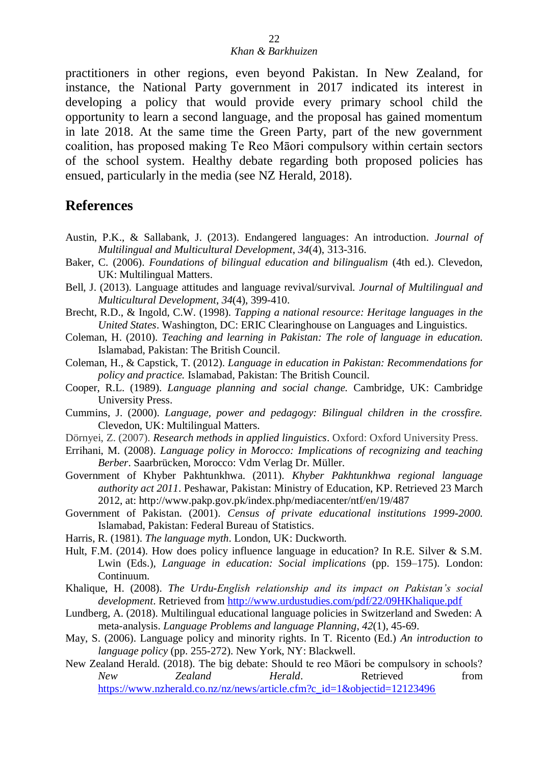practitioners in other regions, even beyond Pakistan. In New Zealand, for instance, the National Party government in 2017 indicated its interest in developing a policy that would provide every primary school child the opportunity to learn a second language, and the proposal has gained momentum in late 2018. At the same time the Green Party, part of the new government coalition, has proposed making Te Reo Māori compulsory within certain sectors of the school system. Healthy debate regarding both proposed policies has ensued, particularly in the media (see NZ Herald, 2018).

## **References**

- Austin, P.K., & Sallabank, J. (2013). Endangered languages: An introduction. *Journal of Multilingual and Multicultural Development*, *34*(4), 313-316.
- Baker, C. (2006). *Foundations of bilingual education and bilingualism* (4th ed.). Clevedon, UK: Multilingual Matters.
- Bell, J. (2013). Language attitudes and language revival/survival. *Journal of Multilingual and Multicultural Development*, *34*(4), 399-410.
- Brecht, R.D., & Ingold, C.W. (1998). *Tapping a national resource: Heritage languages in the United States*. Washington, DC: ERIC Clearinghouse on Languages and Linguistics.
- Coleman, H. (2010). *Teaching and learning in Pakistan: The role of language in education.* Islamabad, Pakistan: The British Council.
- Coleman, H., & Capstick, T. (2012). *Language in education in Pakistan: Recommendations for policy and practice.* Islamabad, Pakistan: The British Council.
- Cooper, R.L. (1989). *Language planning and social change.* Cambridge, UK: Cambridge University Press.
- Cummins, J. (2000). *Language, power and pedagogy: Bilingual children in the crossfire.* Clevedon, UK: Multilingual Matters.
- Dörnyei, Z. (2007). *Research methods in applied linguistics*. Oxford: Oxford University Press.
- Errihani, M. (2008). *Language policy in Morocco: Implications of recognizing and teaching Berber*. Saarbrücken, Morocco: Vdm Verlag Dr. Müller.
- Government of Khyber Pakhtunkhwa. (2011). *Khyber Pakhtunkhwa regional language authority act 2011*. Peshawar, Pakistan: Ministry of Education, KP. Retrieved 23 March 2012, at:<http://www.pakp.gov.pk/index.php/mediacenter/ntf/en/19/487>
- Government of Pakistan. (2001). *Census of private educational institutions 1999-2000.* Islamabad, Pakistan: Federal Bureau of Statistics.
- Harris, R. (1981). *The language myth*. London, UK: Duckworth.
- Hult, F.M. (2014). How does policy influence language in education? In R.E. Silver & S.M. Lwin (Eds.), *Language in education: Social implications* (pp. 159–175). London: Continuum.
- Khalique, H. (2008). *The Urdu-English relationship and its impact on Pakistan's social development*. Retrieved from<http://www.urdustudies.com/pdf/22/09HKhalique.pdf>
- Lundberg, A. (2018). Multilingual educational language policies in Switzerland and Sweden: A meta-analysis. *Language Problems and language Planning*, *42*(1), 45-69.
- May, S. (2006). Language policy and minority rights. In T. Ricento (Ed.) *An introduction to language policy* (pp. 255-272). New York, NY: Blackwell.
- New Zealand Herald. (2018). The big debate: Should te reo Māori be compulsory in schools? *New Zealand Herald*. Retrieved from [https://www.nzherald.co.nz/nz/news/article.cfm?c\\_id=1&objectid=12123496](https://www.nzherald.co.nz/nz/news/article.cfm?c_id=1&objectid=12123496)